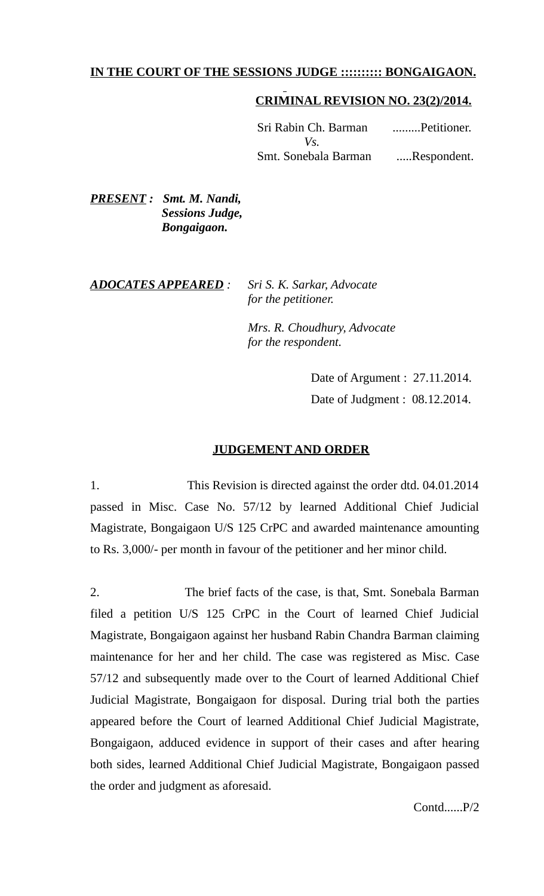## **IN THE COURT OF THE SESSIONS JUDGE :::::::::: BONGAIGAON.**

# **CRIMINAL REVISION NO. 23(2)/2014.**

 Sri Rabin Ch. Barman .........Petitioner.  $V$ s. Smt. Sonebala Barman .....Respondent.

*PRESENT : Smt. M. Nandi, Sessions Judge, Bongaigaon.* 

#### *ADOCATES APPEARED : Sri S. K. Sarkar, Advocate for the petitioner.*

 *Mrs. R. Choudhury, Advocate for the respondent.*

> Date of Argument : 27.11.2014. Date of Judgment : 08.12.2014.

### **JUDGEMENT AND ORDER**

1. This Revision is directed against the order dtd. 04.01.2014 passed in Misc. Case No. 57/12 by learned Additional Chief Judicial Magistrate, Bongaigaon U/S 125 CrPC and awarded maintenance amounting to Rs. 3,000/- per month in favour of the petitioner and her minor child.

2. The brief facts of the case, is that, Smt. Sonebala Barman filed a petition U/S 125 CrPC in the Court of learned Chief Judicial Magistrate, Bongaigaon against her husband Rabin Chandra Barman claiming maintenance for her and her child. The case was registered as Misc. Case 57/12 and subsequently made over to the Court of learned Additional Chief Judicial Magistrate, Bongaigaon for disposal. During trial both the parties appeared before the Court of learned Additional Chief Judicial Magistrate, Bongaigaon, adduced evidence in support of their cases and after hearing both sides, learned Additional Chief Judicial Magistrate, Bongaigaon passed the order and judgment as aforesaid.

Contd......P/2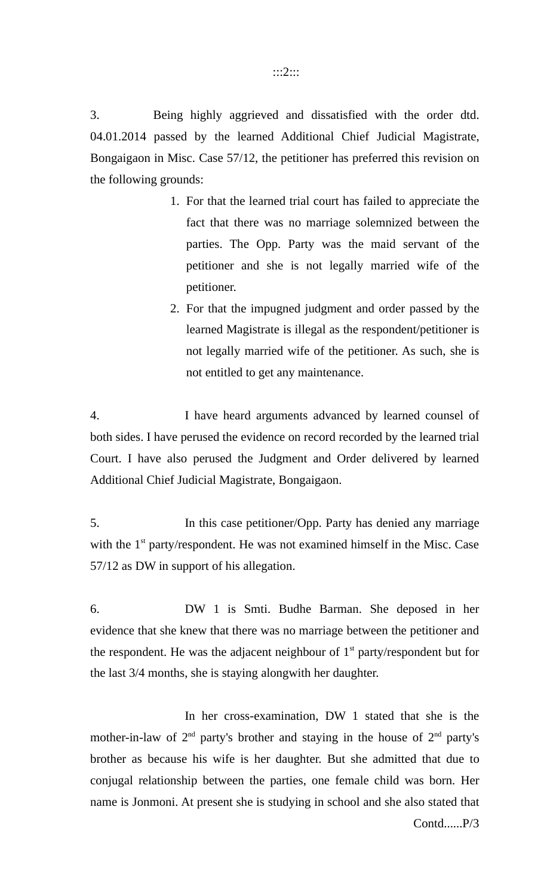3. Being highly aggrieved and dissatisfied with the order dtd. 04.01.2014 passed by the learned Additional Chief Judicial Magistrate, Bongaigaon in Misc. Case 57/12, the petitioner has preferred this revision on the following grounds:

- 1. For that the learned trial court has failed to appreciate the fact that there was no marriage solemnized between the parties. The Opp. Party was the maid servant of the petitioner and she is not legally married wife of the petitioner.
- 2. For that the impugned judgment and order passed by the learned Magistrate is illegal as the respondent/petitioner is not legally married wife of the petitioner. As such, she is not entitled to get any maintenance.

4. I have heard arguments advanced by learned counsel of both sides. I have perused the evidence on record recorded by the learned trial Court. I have also perused the Judgment and Order delivered by learned Additional Chief Judicial Magistrate, Bongaigaon.

5. In this case petitioner/Opp. Party has denied any marriage with the  $1<sup>st</sup>$  party/respondent. He was not examined himself in the Misc. Case 57/12 as DW in support of his allegation.

6. DW 1 is Smti. Budhe Barman. She deposed in her evidence that she knew that there was no marriage between the petitioner and the respondent. He was the adjacent neighbour of  $1<sup>st</sup>$  party/respondent but for the last 3/4 months, she is staying alongwith her daughter.

In her cross-examination, DW 1 stated that she is the mother-in-law of  $2<sup>nd</sup>$  party's brother and staying in the house of  $2<sup>nd</sup>$  party's brother as because his wife is her daughter. But she admitted that due to conjugal relationship between the parties, one female child was born. Her name is Jonmoni. At present she is studying in school and she also stated that Contd......P/3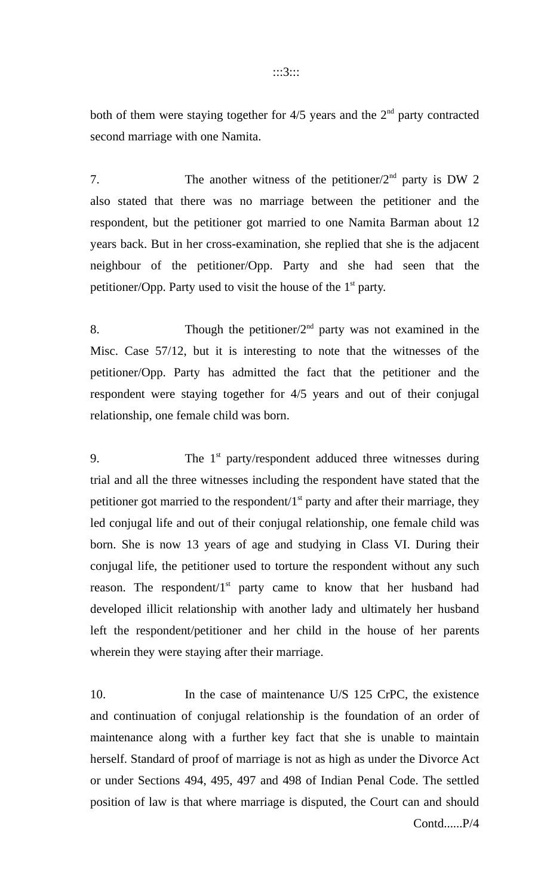both of them were staying together for  $4/5$  years and the  $2<sup>nd</sup>$  party contracted second marriage with one Namita.

7. The another witness of the petitioner/ $2<sup>nd</sup>$  party is DW 2 also stated that there was no marriage between the petitioner and the respondent, but the petitioner got married to one Namita Barman about 12 years back. But in her cross-examination, she replied that she is the adjacent neighbour of the petitioner/Opp. Party and she had seen that the petitioner/Opp. Party used to visit the house of the  $1<sup>st</sup>$  party.

8. Though the petitioner/ $2<sup>nd</sup>$  party was not examined in the Misc. Case 57/12, but it is interesting to note that the witnesses of the petitioner/Opp. Party has admitted the fact that the petitioner and the respondent were staying together for 4/5 years and out of their conjugal relationship, one female child was born.

9. The  $1<sup>st</sup>$  party/respondent adduced three witnesses during trial and all the three witnesses including the respondent have stated that the petitioner got married to the respondent/ $1<sup>st</sup>$  party and after their marriage, they led conjugal life and out of their conjugal relationship, one female child was born. She is now 13 years of age and studying in Class VI. During their conjugal life, the petitioner used to torture the respondent without any such reason. The respondent/ $1<sup>st</sup>$  party came to know that her husband had developed illicit relationship with another lady and ultimately her husband left the respondent/petitioner and her child in the house of her parents wherein they were staying after their marriage.

10. In the case of maintenance U/S 125 CrPC, the existence and continuation of conjugal relationship is the foundation of an order of maintenance along with a further key fact that she is unable to maintain herself. Standard of proof of marriage is not as high as under the Divorce Act or under Sections 494, 495, 497 and 498 of Indian Penal Code. The settled position of law is that where marriage is disputed, the Court can and should Contd......P/4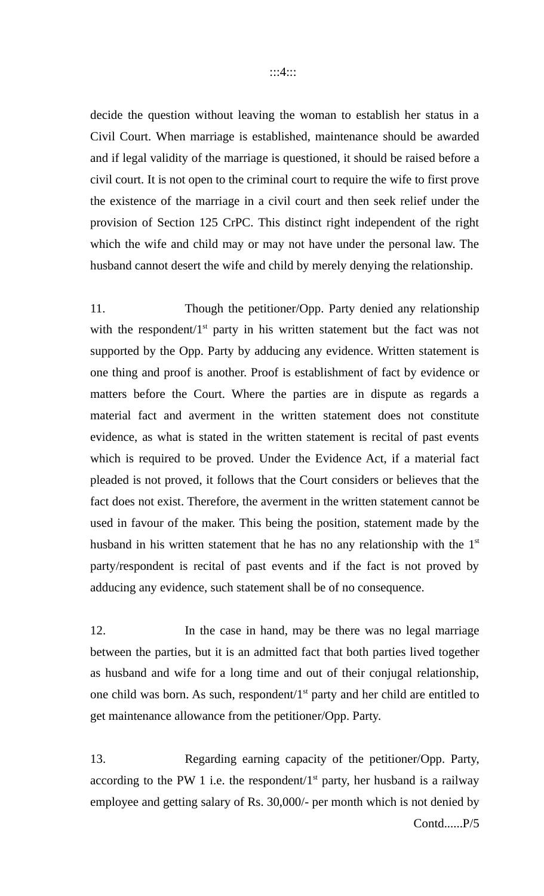decide the question without leaving the woman to establish her status in a Civil Court. When marriage is established, maintenance should be awarded and if legal validity of the marriage is questioned, it should be raised before a civil court. It is not open to the criminal court to require the wife to first prove the existence of the marriage in a civil court and then seek relief under the provision of Section 125 CrPC. This distinct right independent of the right which the wife and child may or may not have under the personal law. The husband cannot desert the wife and child by merely denying the relationship.

11. Though the petitioner/Opp. Party denied any relationship with the respondent/ $1<sup>st</sup>$  party in his written statement but the fact was not supported by the Opp. Party by adducing any evidence. Written statement is one thing and proof is another. Proof is establishment of fact by evidence or matters before the Court. Where the parties are in dispute as regards a material fact and averment in the written statement does not constitute evidence, as what is stated in the written statement is recital of past events which is required to be proved. Under the Evidence Act, if a material fact pleaded is not proved, it follows that the Court considers or believes that the fact does not exist. Therefore, the averment in the written statement cannot be used in favour of the maker. This being the position, statement made by the husband in his written statement that he has no any relationship with the  $1<sup>st</sup>$ party/respondent is recital of past events and if the fact is not proved by adducing any evidence, such statement shall be of no consequence.

12. In the case in hand, may be there was no legal marriage between the parties, but it is an admitted fact that both parties lived together as husband and wife for a long time and out of their conjugal relationship, one child was born. As such, respondent/ $1<sup>st</sup>$  party and her child are entitled to get maintenance allowance from the petitioner/Opp. Party.

13. Regarding earning capacity of the petitioner/Opp. Party, according to the PW 1 i.e. the respondent/ $1<sup>st</sup>$  party, her husband is a railway employee and getting salary of Rs. 30,000/- per month which is not denied by Contd......P/5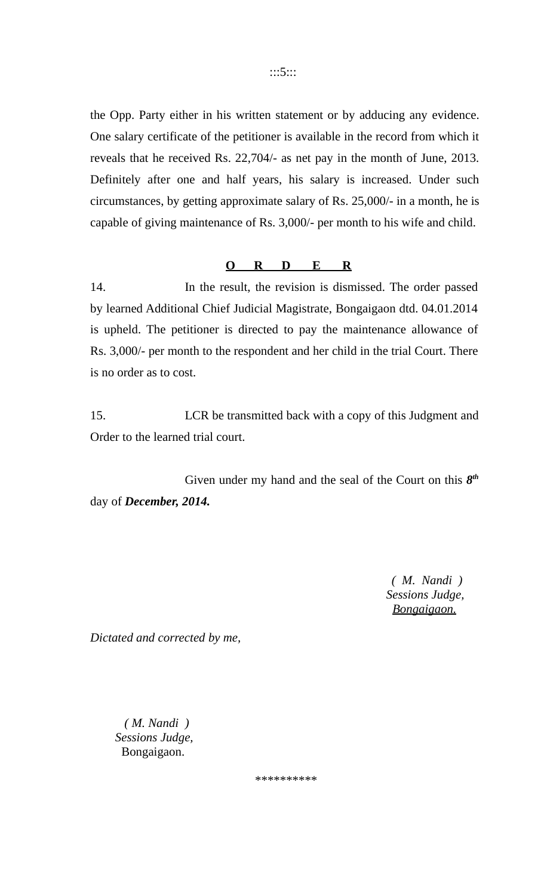the Opp. Party either in his written statement or by adducing any evidence. One salary certificate of the petitioner is available in the record from which it reveals that he received Rs. 22,704/- as net pay in the month of June, 2013. Definitely after one and half years, his salary is increased. Under such circumstances, by getting approximate salary of Rs. 25,000/- in a month, he is capable of giving maintenance of Rs. 3,000/- per month to his wife and child.

#### **O R D E R**

14. In the result, the revision is dismissed. The order passed by learned Additional Chief Judicial Magistrate, Bongaigaon dtd. 04.01.2014 is upheld. The petitioner is directed to pay the maintenance allowance of Rs. 3,000/- per month to the respondent and her child in the trial Court. There is no order as to cost.

15. LCR be transmitted back with a copy of this Judgment and Order to the learned trial court.

Given under my hand and the seal of the Court on this  $8<sup>th</sup>$ day of *December, 2014.*

> *( M. Nandi ) Sessions Judge, Bongaigaon.*

*Dictated and corrected by me,*

 *( M. Nandi ) Sessions Judge,* Bongaigaon.

\*\*\*\*\*\*\*\*\*\*